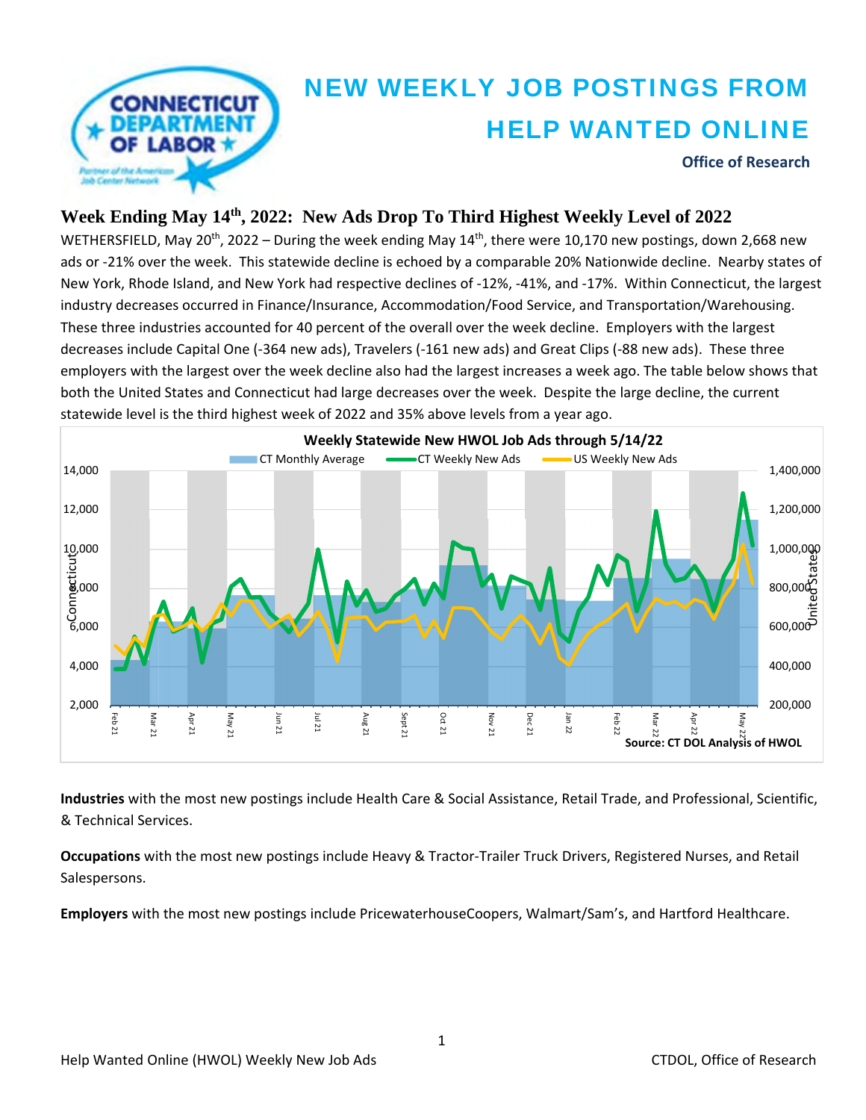

#### **Week Ending May 14th, 2022: New Ads Drop To Third Highest Weekly Level of 2022**

WETHERSFIELD, May 20<sup>th</sup>, 2022 – During the week ending May  $14^{th}$ , there were 10,170 new postings, down 2,668 new ads or ‐21% over the week. This statewide decline is echoed by a comparable 20% Nationwide decline. Nearby states of New York, Rhode Island, and New York had respective declines of ‐12%, ‐41%, and ‐17%. Within Connecticut, the largest industry decreases occurred in Finance/Insurance, Accommodation/Food Service, and Transportation/Warehousing. These three industries accounted for 40 percent of the overall over the week decline. Employers with the largest decreases include Capital One (‐364 new ads), Travelers (‐161 new ads) and Great Clips (‐88 new ads). These three employers with the largest over the week decline also had the largest increases a week ago. The table below shows that both the United States and Connecticut had large decreases over the week. Despite the large decline, the current statewide level is the third highest week of 2022 and 35% above levels from a year ago.



**Industries** with the most new postings include Health Care & Social Assistance, Retail Trade, and Professional, Scientific, & Technical Services.

**Occupations** with the most new postings include Heavy & Tractor‐Trailer Truck Drivers, Registered Nurses, and Retail Salespersons.

**Employers** with the most new postings include PricewaterhouseCoopers, Walmart/Sam's, and Hartford Healthcare.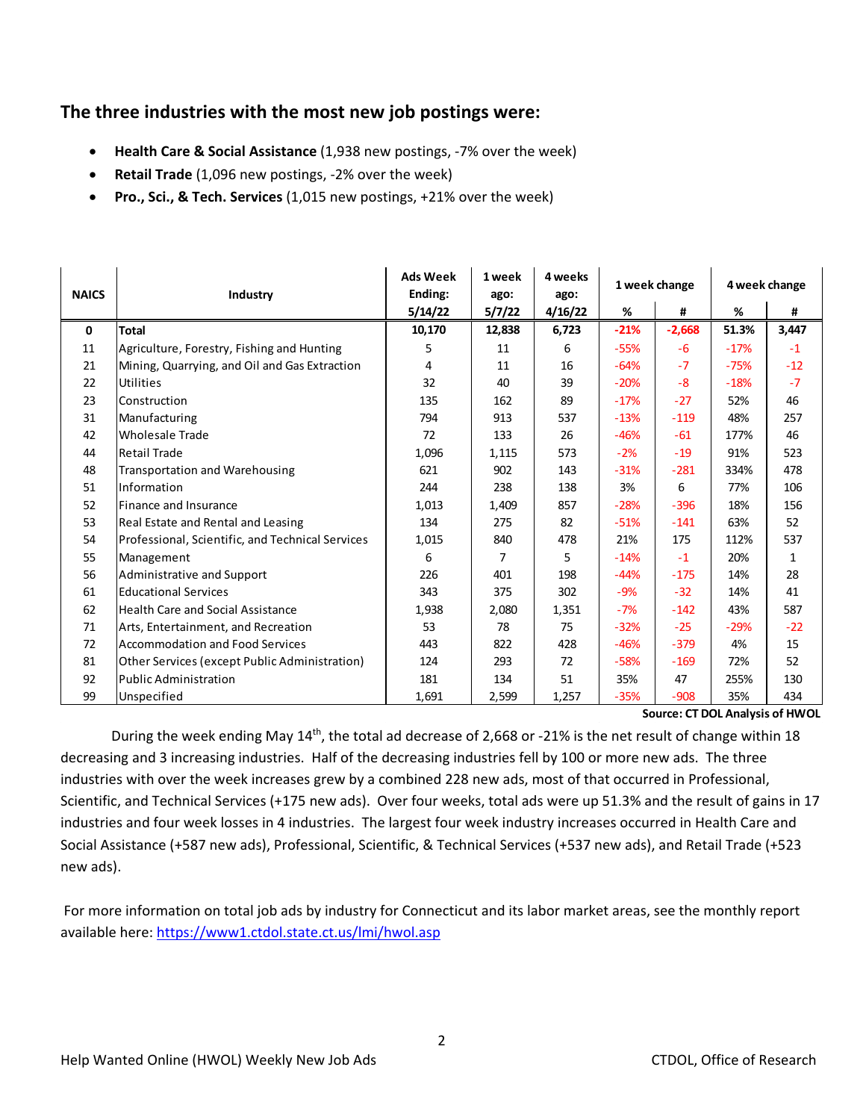### **The three industries with the most new job postings were:**

- **Health Care & Social Assistance** (1,938 new postings, ‐7% over the week)
- **Retail Trade** (1,096 new postings, ‐2% over the week)
- **Pro., Sci., & Tech. Services** (1,015 new postings, +21% over the week)

| <b>NAICS</b> | Industry                                         | <b>Ads Week</b><br>Ending: | 1 week<br>ago: | 4 weeks<br>ago: | 1 week change |          | 4 week change |              |
|--------------|--------------------------------------------------|----------------------------|----------------|-----------------|---------------|----------|---------------|--------------|
|              |                                                  | 5/14/22                    | 5/7/22         | 4/16/22         | %             | #        | %             | #            |
| $\mathbf{0}$ | <b>Total</b>                                     | 10,170                     | 12,838         | 6,723           | $-21%$        | $-2,668$ | 51.3%         | 3,447        |
| 11           | Agriculture, Forestry, Fishing and Hunting       | 5                          | 11             | 6               | $-55%$        | $-6$     | $-17%$        | $-1$         |
| 21           | Mining, Quarrying, and Oil and Gas Extraction    | 4                          | 11             | 16              | $-64%$        | $-7$     | $-75%$        | $-12$        |
| 22           | Utilities                                        | 32                         | 40             | 39              | $-20%$        | $-8$     | $-18%$        | $-7$         |
| 23           | Construction                                     | 135                        | 162            | 89              | $-17%$        | $-27$    | 52%           | 46           |
| 31           | Manufacturing                                    | 794                        | 913            | 537             | $-13%$        | $-119$   | 48%           | 257          |
| 42           | <b>Wholesale Trade</b>                           | 72                         | 133            | 26              | $-46%$        | $-61$    | 177%          | 46           |
| 44           | <b>Retail Trade</b>                              | 1,096                      | 1,115          | 573             | $-2%$         | $-19$    | 91%           | 523          |
| 48           | <b>Transportation and Warehousing</b>            | 621                        | 902            | 143             | $-31%$        | $-281$   | 334%          | 478          |
| 51           | Information                                      | 244                        | 238            | 138             | 3%            | 6        | 77%           | 106          |
| 52           | Finance and Insurance                            | 1,013                      | 1,409          | 857             | $-28%$        | $-396$   | 18%           | 156          |
| 53           | Real Estate and Rental and Leasing               | 134                        | 275            | 82              | $-51%$        | $-141$   | 63%           | 52           |
| 54           | Professional, Scientific, and Technical Services | 1,015                      | 840            | 478             | 21%           | 175      | 112%          | 537          |
| 55           | Management                                       | 6                          | 7              | 5               | $-14%$        | $-1$     | 20%           | $\mathbf{1}$ |
| 56           | Administrative and Support                       | 226                        | 401            | 198             | $-44%$        | $-175$   | 14%           | 28           |
| 61           | <b>Educational Services</b>                      | 343                        | 375            | 302             | $-9%$         | $-32$    | 14%           | 41           |
| 62           | <b>Health Care and Social Assistance</b>         | 1,938                      | 2,080          | 1,351           | $-7%$         | $-142$   | 43%           | 587          |
| 71           | Arts, Entertainment, and Recreation              | 53                         | 78             | 75              | $-32%$        | $-25$    | $-29%$        | $-22$        |
| 72           | <b>Accommodation and Food Services</b>           | 443                        | 822            | 428             | $-46%$        | $-379$   | 4%            | 15           |
| 81           | Other Services (except Public Administration)    | 124                        | 293            | 72              | $-58%$        | $-169$   | 72%           | 52           |
| 92           | <b>Public Administration</b>                     | 181                        | 134            | 51              | 35%           | 47       | 255%          | 130          |
| 99           | Unspecified                                      | 1,691                      | 2,599          | 1,257           | $-35%$        | $-908$   | 35%           | 434          |

**Source: CT DOL Analysis of HWOL**

During the week ending May 14<sup>th</sup>, the total ad decrease of 2,668 or -21% is the net result of change within 18 decreasing and 3 increasing industries. Half of the decreasing industries fell by 100 or more new ads. The three industries with over the week increases grew by a combined 228 new ads, most of that occurred in Professional, Scientific, and Technical Services (+175 new ads). Over four weeks, total ads were up 51.3% and the result of gains in 17 industries and four week losses in 4 industries. The largest four week industry increases occurred in Health Care and Social Assistance (+587 new ads), Professional, Scientific, & Technical Services (+537 new ads), and Retail Trade (+523 new ads).

For more information on total job ads by industry for Connecticut and its labor market areas, see the monthly report available here: https://www1.ctdol.state.ct.us/lmi/hwol.asp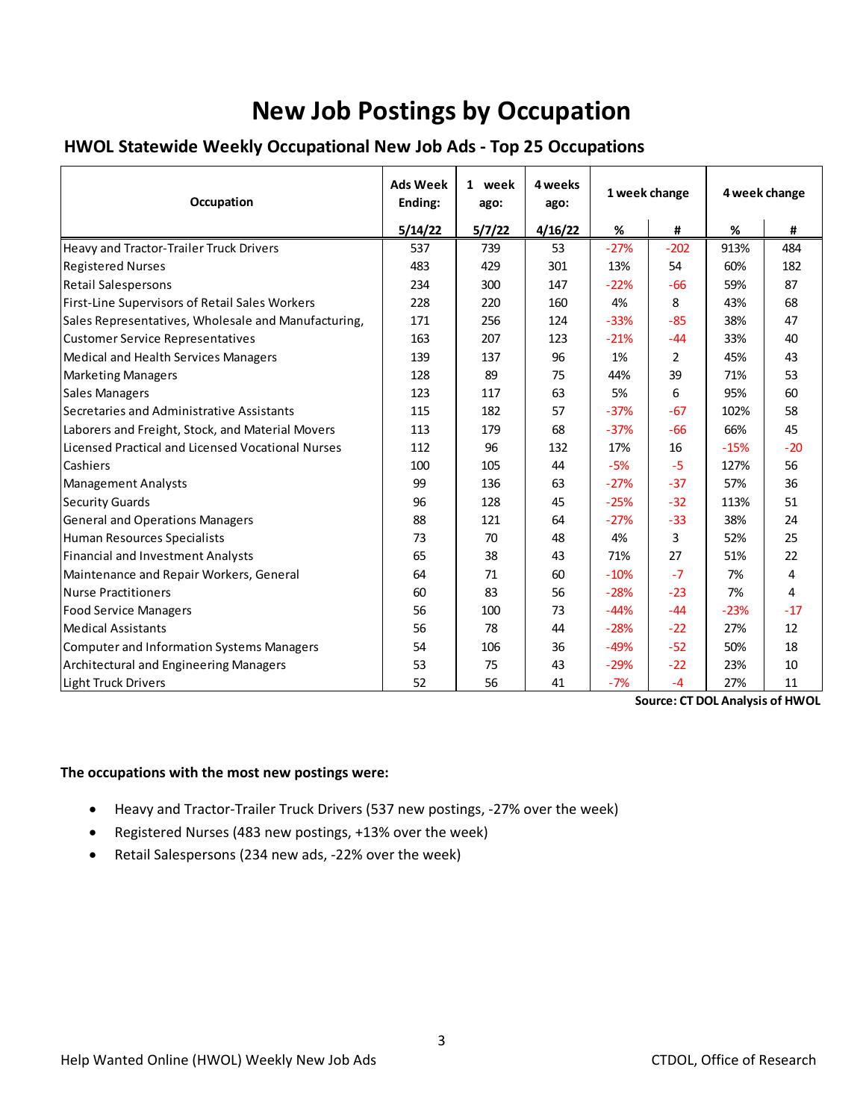# **New Job Postings by Occupation**

#### **HWOL Statewide Weekly Occupational New Job Ads ‐ Top 25 Occupations**

| Occupation                                          | <b>Ads Week</b><br>Ending: | 1 week<br>ago: | 4 weeks<br>ago: | 1 week change |                | 4 week change |       |
|-----------------------------------------------------|----------------------------|----------------|-----------------|---------------|----------------|---------------|-------|
|                                                     | 5/14/22                    | 5/7/22         | 4/16/22         | $\%$          | #              | %             | #     |
| Heavy and Tractor-Trailer Truck Drivers             | 537                        | 739            | 53              | $-27%$        | $-202$         | 913%          | 484   |
| <b>Registered Nurses</b>                            | 483                        | 429            | 301             | 13%           | 54             | 60%           | 182   |
| <b>Retail Salespersons</b>                          | 234                        | 300            | 147             | $-22%$        | $-66$          | 59%           | 87    |
| First-Line Supervisors of Retail Sales Workers      | 228                        | 220            | 160             | 4%            | 8              | 43%           | 68    |
| Sales Representatives, Wholesale and Manufacturing, | 171                        | 256            | 124             | $-33%$        | $-85$          | 38%           | 47    |
| <b>Customer Service Representatives</b>             | 163                        | 207            | 123             | $-21%$        | $-44$          | 33%           | 40    |
| Medical and Health Services Managers                | 139                        | 137            | 96              | 1%            | $\overline{2}$ | 45%           | 43    |
| <b>Marketing Managers</b>                           | 128                        | 89             | 75              | 44%           | 39             | 71%           | 53    |
| <b>Sales Managers</b>                               | 123                        | 117            | 63              | 5%            | 6              | 95%           | 60    |
| Secretaries and Administrative Assistants           | 115                        | 182            | 57              | $-37%$        | $-67$          | 102%          | 58    |
| Laborers and Freight, Stock, and Material Movers    | 113                        | 179            | 68              | $-37%$        | $-66$          | 66%           | 45    |
| Licensed Practical and Licensed Vocational Nurses   | 112                        | 96             | 132             | 17%           | 16             | $-15%$        | $-20$ |
| Cashiers                                            | 100                        | 105            | 44              | $-5%$         | $-5$           | 127%          | 56    |
| <b>Management Analysts</b>                          | 99                         | 136            | 63              | $-27%$        | $-37$          | 57%           | 36    |
| <b>Security Guards</b>                              | 96                         | 128            | 45              | $-25%$        | $-32$          | 113%          | 51    |
| <b>General and Operations Managers</b>              | 88                         | 121            | 64              | $-27%$        | $-33$          | 38%           | 24    |
| Human Resources Specialists                         | 73                         | 70             | 48              | 4%            | 3              | 52%           | 25    |
| <b>Financial and Investment Analysts</b>            | 65                         | 38             | 43              | 71%           | 27             | 51%           | 22    |
| Maintenance and Repair Workers, General             | 64                         | 71             | 60              | $-10%$        | $-7$           | 7%            | 4     |
| Nurse Practitioners                                 | 60                         | 83             | 56              | $-28%$        | $-23$          | 7%            | 4     |
| <b>Food Service Managers</b>                        | 56                         | 100            | 73              | $-44%$        | $-44$          | $-23%$        | $-17$ |
| <b>Medical Assistants</b>                           | 56                         | 78             | 44              | $-28%$        | $-22$          | 27%           | 12    |
| Computer and Information Systems Managers           | 54                         | 106            | 36              | $-49%$        | $-52$          | 50%           | 18    |
| Architectural and Engineering Managers              | 53                         | 75             | 43              | $-29%$        | $-22$          | 23%           | 10    |
| Light Truck Drivers                                 | 52                         | 56             | 41              | $-7%$         | $-4$           | 27%           | 11    |

**Source: CT DOL Analysis of HWOL**

#### **The occupations with the most new postings were:**

- Heavy and Tractor‐Trailer Truck Drivers (537 new postings, ‐27% over the week)
- Registered Nurses (483 new postings, +13% over the week)
- Retail Salespersons (234 new ads, -22% over the week)